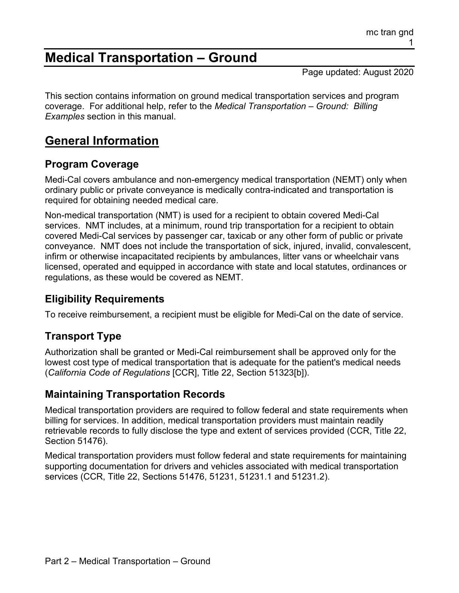# **Medical Transportation – Ground**

Page updated: August 2020

This section contains information on ground medical transportation services and program coverage. For additional help, refer to the *Medical Transportation – Ground: Billing Examples* section in this manual.

# **General Information**

## **Program Coverage**

Medi-Cal covers ambulance and non-emergency medical transportation (NEMT) only when ordinary public or private conveyance is medically contra-indicated and transportation is required for obtaining needed medical care.

Non-medical transportation (NMT) is used for a recipient to obtain covered Medi-Cal services. NMT includes, at a minimum, round trip transportation for a recipient to obtain covered Medi-Cal services by passenger car, taxicab or any other form of public or private conveyance. NMT does not include the transportation of sick, injured, invalid, convalescent, infirm or otherwise incapacitated recipients by ambulances, litter vans or wheelchair vans licensed, operated and equipped in accordance with state and local statutes, ordinances or regulations, as these would be covered as NEMT.

## **Eligibility Requirements**

To receive reimbursement, a recipient must be eligible for Medi-Cal on the date of service.

## **Transport Type**

Authorization shall be granted or Medi-Cal reimbursement shall be approved only for the lowest cost type of medical transportation that is adequate for the patient's medical needs (*California Code of Regulations* [CCR], Title 22, Section 51323[b]).

## **Maintaining Transportation Records**

Medical transportation providers are required to follow federal and state requirements when billing for services. In addition, medical transportation providers must maintain readily retrievable records to fully disclose the type and extent of services provided (CCR, Title 22, Section 51476).

Medical transportation providers must follow federal and state requirements for maintaining supporting documentation for drivers and vehicles associated with medical transportation services (CCR, Title 22, Sections 51476, 51231, 51231.1 and 51231.2).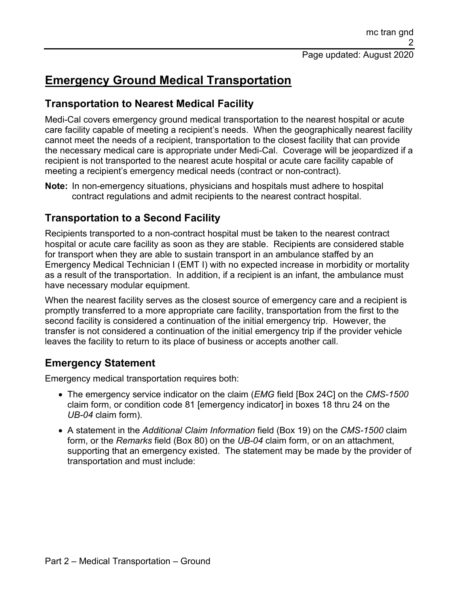# **Emergency Ground Medical Transportation**

## **Transportation to Nearest Medical Facility**

Medi-Cal covers emergency ground medical transportation to the nearest hospital or acute care facility capable of meeting a recipient's needs. When the geographically nearest facility cannot meet the needs of a recipient, transportation to the closest facility that can provide the necessary medical care is appropriate under Medi-Cal. Coverage will be jeopardized if a recipient is not transported to the nearest acute hospital or acute care facility capable of meeting a recipient's emergency medical needs (contract or non-contract).

**Note:** In non-emergency situations, physicians and hospitals must adhere to hospital contract regulations and admit recipients to the nearest contract hospital.

## **Transportation to a Second Facility**

Recipients transported to a non-contract hospital must be taken to the nearest contract hospital or acute care facility as soon as they are stable. Recipients are considered stable for transport when they are able to sustain transport in an ambulance staffed by an Emergency Medical Technician I (EMT I) with no expected increase in morbidity or mortality as a result of the transportation. In addition, if a recipient is an infant, the ambulance must have necessary modular equipment.

When the nearest facility serves as the closest source of emergency care and a recipient is promptly transferred to a more appropriate care facility, transportation from the first to the second facility is considered a continuation of the initial emergency trip. However, the transfer is not considered a continuation of the initial emergency trip if the provider vehicle leaves the facility to return to its place of business or accepts another call.

## **Emergency Statement**

Emergency medical transportation requires both:

- The emergency service indicator on the claim (*EMG* field [Box 24C] on the *CMS-1500* claim form, or condition code 81 [emergency indicator] in boxes 18 thru 24 on the *UB-04* claim form).
- A statement in the *Additional Claim Information* field (Box 19) on the *CMS-1500* claim form, or the *Remarks* field (Box 80) on the *UB-04* claim form, or on an attachment, supporting that an emergency existed. The statement may be made by the provider of transportation and must include: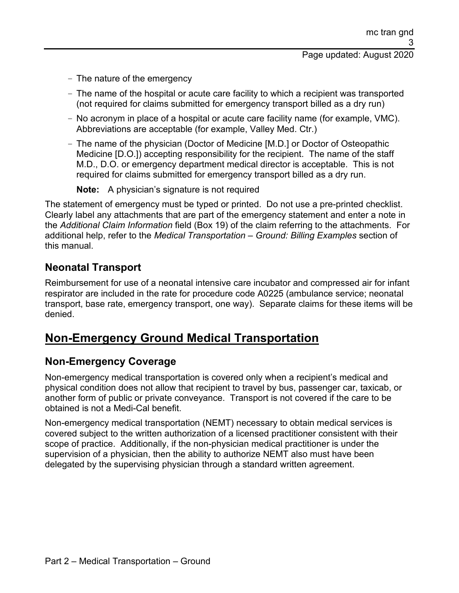- The nature of the emergency
- The name of the hospital or acute care facility to which a recipient was transported (not required for claims submitted for emergency transport billed as a dry run)
- No acronym in place of a hospital or acute care facility name (for example, VMC). Abbreviations are acceptable (for example, Valley Med. Ctr.)
- The name of the physician (Doctor of Medicine [M.D.] or Doctor of Osteopathic Medicine [D.O.]) accepting responsibility for the recipient. The name of the staff M.D., D.O. or emergency department medical director is acceptable. This is not required for claims submitted for emergency transport billed as a dry run.

**Note:** A physician's signature is not required

The statement of emergency must be typed or printed. Do not use a pre-printed checklist. Clearly label any attachments that are part of the emergency statement and enter a note in the *Additional Claim Information* field (Box 19) of the claim referring to the attachments. For additional help, refer to the *Medical Transportation – Ground: Billing Examples* section of this manual.

## **Neonatal Transport**

Reimbursement for use of a neonatal intensive care incubator and compressed air for infant respirator are included in the rate for procedure code A0225 (ambulance service; neonatal transport, base rate, emergency transport, one way). Separate claims for these items will be denied.

## **Non-Emergency Ground Medical Transportation**

## **Non-Emergency Coverage**

Non-emergency medical transportation is covered only when a recipient's medical and physical condition does not allow that recipient to travel by bus, passenger car, taxicab, or another form of public or private conveyance. Transport is not covered if the care to be obtained is not a Medi-Cal benefit.

Non-emergency medical transportation (NEMT) necessary to obtain medical services is covered subject to the written authorization of a licensed practitioner consistent with their scope of practice. Additionally, if the non-physician medical practitioner is under the supervision of a physician, then the ability to authorize NEMT also must have been delegated by the supervising physician through a standard written agreement.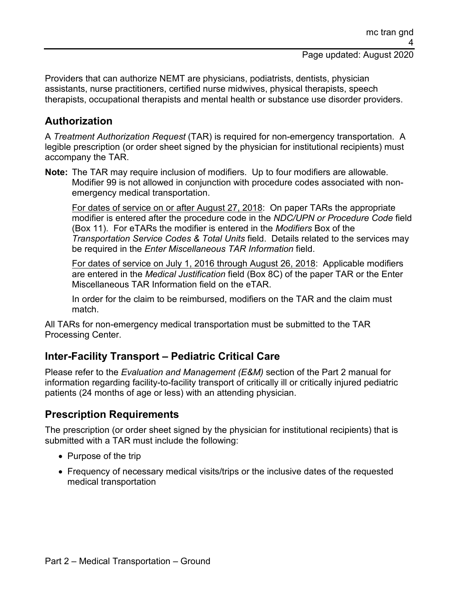Providers that can authorize NEMT are physicians, podiatrists, dentists, physician assistants, nurse practitioners, certified nurse midwives, physical therapists, speech therapists, occupational therapists and mental health or substance use disorder providers.

## **Authorization**

A *Treatment Authorization Request* (TAR) is required for non-emergency transportation. A legible prescription (or order sheet signed by the physician for institutional recipients) must accompany the TAR.

**Note:** The TAR may require inclusion of modifiers. Up to four modifiers are allowable. Modifier 99 is not allowed in conjunction with procedure codes associated with nonemergency medical transportation.

For dates of service on or after August 27, 2018: On paper TARs the appropriate modifier is entered after the procedure code in the *NDC/UPN or Procedure Code* field (Box 11). For eTARs the modifier is entered in the *Modifiers* Box of the *Transportation Service Codes & Total Units* field. Details related to the services may be required in the *Enter Miscellaneous TAR Information* field.

For dates of service on July 1, 2016 through August 26, 2018: Applicable modifiers are entered in the *Medical Justification* field (Box 8C) of the paper TAR or the Enter Miscellaneous TAR Information field on the eTAR.

In order for the claim to be reimbursed, modifiers on the TAR and the claim must match.

All TARs for non-emergency medical transportation must be submitted to the TAR Processing Center.

## **Inter-Facility Transport – Pediatric Critical Care**

Please refer to the *Evaluation and Management (E&M)* section of the Part 2 manual for information regarding facility-to-facility transport of critically ill or critically injured pediatric patients (24 months of age or less) with an attending physician.

## **Prescription Requirements**

The prescription (or order sheet signed by the physician for institutional recipients) that is submitted with a TAR must include the following:

- Purpose of the trip
- Frequency of necessary medical visits/trips or the inclusive dates of the requested medical transportation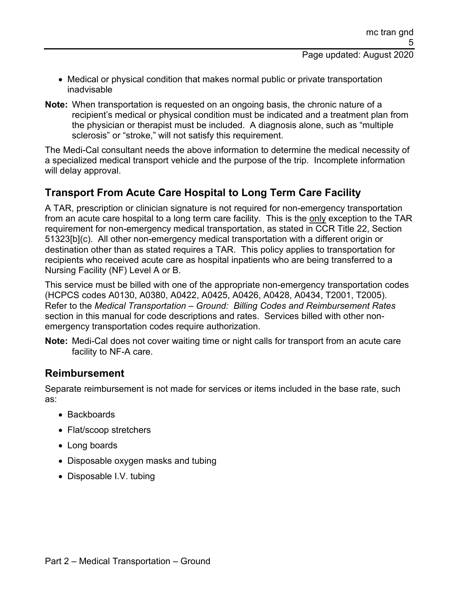- Medical or physical condition that makes normal public or private transportation inadvisable
- **Note:** When transportation is requested on an ongoing basis, the chronic nature of a recipient's medical or physical condition must be indicated and a treatment plan from the physician or therapist must be included. A diagnosis alone, such as "multiple sclerosis" or "stroke," will not satisfy this requirement.

The Medi-Cal consultant needs the above information to determine the medical necessity of a specialized medical transport vehicle and the purpose of the trip. Incomplete information will delay approval.

## **Transport From Acute Care Hospital to Long Term Care Facility**

A TAR, prescription or clinician signature is not required for non-emergency transportation from an acute care hospital to a long term care facility. This is the only exception to the TAR requirement for non-emergency medical transportation, as stated in CCR Title 22, Section 51323[b](c). All other non-emergency medical transportation with a different origin or destination other than as stated requires a TAR. This policy applies to transportation for recipients who received acute care as hospital inpatients who are being transferred to a Nursing Facility (NF) Level A or B.

This service must be billed with one of the appropriate non-emergency transportation codes (HCPCS codes A0130, A0380, A0422, A0425, A0426, A0428, A0434, T2001, T2005). Refer to the *Medical Transportation – Ground: Billing Codes and Reimbursement Rates* section in this manual for code descriptions and rates. Services billed with other nonemergency transportation codes require authorization.

**Note:** Medi-Cal does not cover waiting time or night calls for transport from an acute care facility to NF-A care.

### **Reimbursement**

Separate reimbursement is not made for services or items included in the base rate, such as:

- Backboards
- Flat/scoop stretchers
- Long boards
- Disposable oxygen masks and tubing
- Disposable I.V. tubing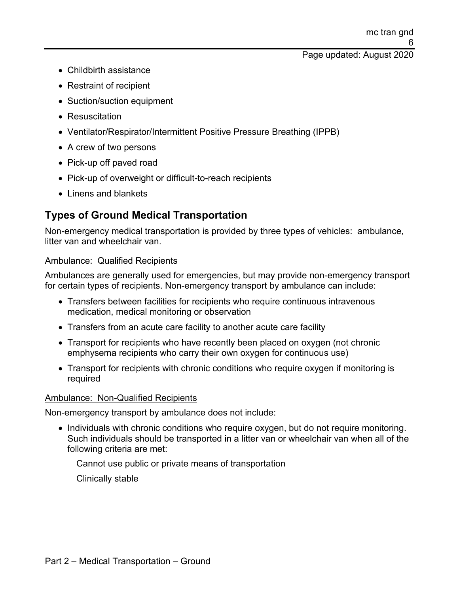- Childbirth assistance
- Restraint of recipient
- Suction/suction equipment
- Resuscitation
- Ventilator/Respirator/Intermittent Positive Pressure Breathing (IPPB)
- A crew of two persons
- Pick-up off paved road
- Pick-up of overweight or difficult-to-reach recipients
- Linens and blankets

## **Types of Ground Medical Transportation**

Non-emergency medical transportation is provided by three types of vehicles: ambulance, litter van and wheelchair van.

#### Ambulance: Qualified Recipients

Ambulances are generally used for emergencies, but may provide non-emergency transport for certain types of recipients. Non-emergency transport by ambulance can include:

- Transfers between facilities for recipients who require continuous intravenous medication, medical monitoring or observation
- Transfers from an acute care facility to another acute care facility
- Transport for recipients who have recently been placed on oxygen (not chronic emphysema recipients who carry their own oxygen for continuous use)
- Transport for recipients with chronic conditions who require oxygen if monitoring is required

#### Ambulance: Non-Qualified Recipients

Non-emergency transport by ambulance does not include:

- Individuals with chronic conditions who require oxygen, but do not require monitoring. Such individuals should be transported in a litter van or wheelchair van when all of the following criteria are met:
	- Cannot use public or private means of transportation
	- Clinically stable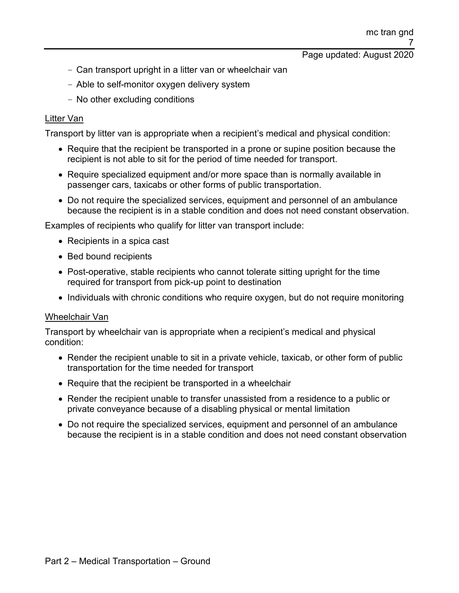- Can transport upright in a litter van or wheelchair van
- Able to self-monitor oxygen delivery system
- No other excluding conditions

#### Litter Van

Transport by litter van is appropriate when a recipient's medical and physical condition:

- Require that the recipient be transported in a prone or supine position because the recipient is not able to sit for the period of time needed for transport.
- Require specialized equipment and/or more space than is normally available in passenger cars, taxicabs or other forms of public transportation.
- Do not require the specialized services, equipment and personnel of an ambulance because the recipient is in a stable condition and does not need constant observation.

Examples of recipients who qualify for litter van transport include:

- Recipients in a spica cast
- Bed bound recipients
- Post-operative, stable recipients who cannot tolerate sitting upright for the time required for transport from pick-up point to destination
- Individuals with chronic conditions who require oxygen, but do not require monitoring

#### Wheelchair Van

Transport by wheelchair van is appropriate when a recipient's medical and physical condition:

- Render the recipient unable to sit in a private vehicle, taxicab, or other form of public transportation for the time needed for transport
- Require that the recipient be transported in a wheelchair
- Render the recipient unable to transfer unassisted from a residence to a public or private conveyance because of a disabling physical or mental limitation
- Do not require the specialized services, equipment and personnel of an ambulance because the recipient is in a stable condition and does not need constant observation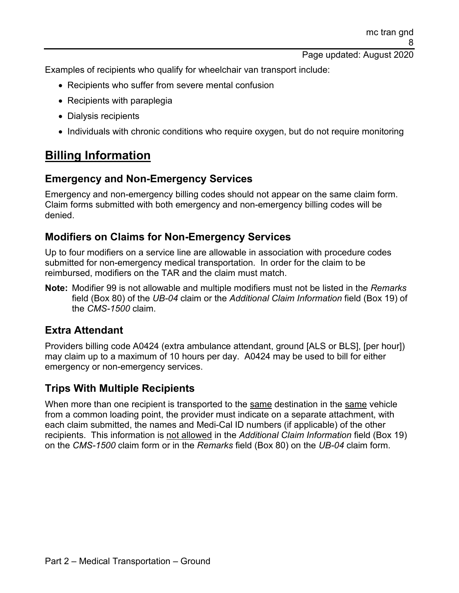Examples of recipients who qualify for wheelchair van transport include:

- Recipients who suffer from severe mental confusion
- Recipients with paraplegia
- Dialysis recipients
- Individuals with chronic conditions who require oxygen, but do not require monitoring

# **Billing Information**

## **Emergency and Non-Emergency Services**

Emergency and non-emergency billing codes should not appear on the same claim form. Claim forms submitted with both emergency and non-emergency billing codes will be denied.

## **Modifiers on Claims for Non-Emergency Services**

Up to four modifiers on a service line are allowable in association with procedure codes submitted for non-emergency medical transportation. In order for the claim to be reimbursed, modifiers on the TAR and the claim must match.

**Note:** Modifier 99 is not allowable and multiple modifiers must not be listed in the *Remarks* field (Box 80) of the *UB-04* claim or the *Additional Claim Information* field (Box 19) of the *CMS-1500* claim.

## **Extra Attendant**

Providers billing code A0424 (extra ambulance attendant, ground [ALS or BLS], [per hour]) may claim up to a maximum of 10 hours per day. A0424 may be used to bill for either emergency or non-emergency services.

## **Trips With Multiple Recipients**

When more than one recipient is transported to the same destination in the same vehicle from a common loading point, the provider must indicate on a separate attachment, with each claim submitted, the names and Medi-Cal ID numbers (if applicable) of the other recipients. This information is not allowed in the *Additional Claim Information* field (Box 19) on the *CMS-1500* claim form or in the *Remarks* field (Box 80) on the *UB-04* claim form.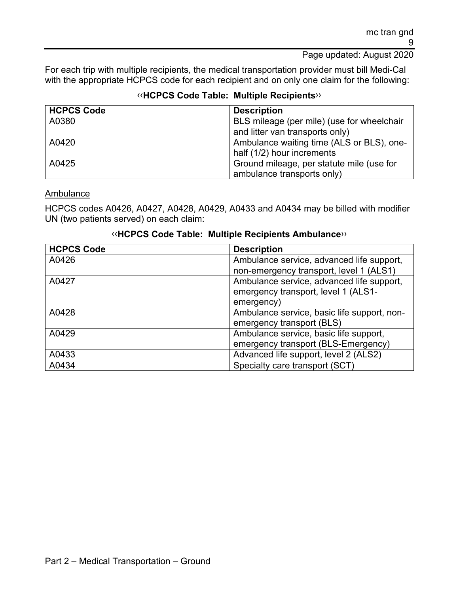For each trip with multiple recipients, the medical transportation provider must bill Medi-Cal with the appropriate HCPCS code for each recipient and on only one claim for the following:

### [‹‹](#page-18-0)**HCPCS Code Table: Multiple Recipients**[››](#page-18-1)

| <b>HCPCS Code</b> | <b>Description</b>                         |
|-------------------|--------------------------------------------|
| A0380             | BLS mileage (per mile) (use for wheelchair |
|                   | and litter van transports only)            |
| A0420             | Ambulance waiting time (ALS or BLS), one-  |
|                   | half (1/2) hour increments                 |
| A0425             | Ground mileage, per statute mile (use for  |
|                   | ambulance transports only)                 |

Ambulance

HCPCS codes A0426, A0427, A0428, A0429, A0433 and A0434 may be billed with modifier UN (two patients served) on each claim:

#### [‹‹](#page-18-0)**HCPCS Code Table: Multiple Recipients Ambulance**[››](#page-18-1)

| <b>HCPCS Code</b> | <b>Description</b>                          |
|-------------------|---------------------------------------------|
| A0426             | Ambulance service, advanced life support,   |
|                   | non-emergency transport, level 1 (ALS1)     |
| A0427             | Ambulance service, advanced life support,   |
|                   | emergency transport, level 1 (ALS1-         |
|                   | emergency)                                  |
| A0428             | Ambulance service, basic life support, non- |
|                   | emergency transport (BLS)                   |
| A0429             | Ambulance service, basic life support,      |
|                   | emergency transport (BLS-Emergency)         |
| A0433             | Advanced life support, level 2 (ALS2)       |
| A0434             | Specialty care transport (SCT)              |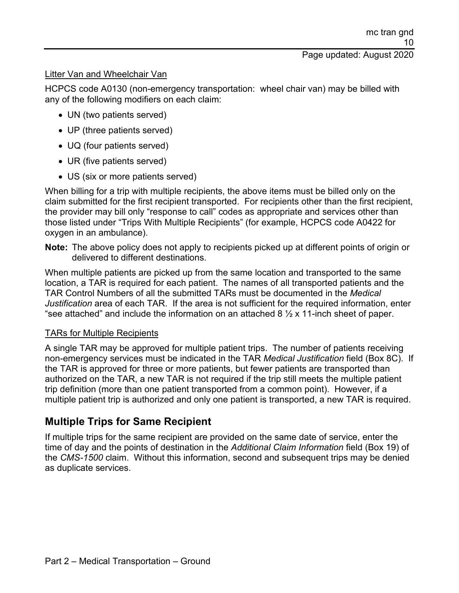#### Litter Van and Wheelchair Van

HCPCS code A0130 (non-emergency transportation: wheel chair van) may be billed with any of the following modifiers on each claim:

- UN (two patients served)
- UP (three patients served)
- UQ (four patients served)
- UR (five patients served)
- US (six or more patients served)

When billing for a trip with multiple recipients, the above items must be billed only on the claim submitted for the first recipient transported. For recipients other than the first recipient, the provider may bill only "response to call" codes as appropriate and services other than those listed under "Trips With Multiple Recipients" (for example, HCPCS code A0422 for oxygen in an ambulance).

**Note:** The above policy does not apply to recipients picked up at different points of origin or delivered to different destinations.

When multiple patients are picked up from the same location and transported to the same location, a TAR is required for each patient. The names of all transported patients and the TAR Control Numbers of all the submitted TARs must be documented in the *Medical Justification* area of each TAR. If the area is not sufficient for the required information, enter "see attached" and include the information on an attached  $8\frac{1}{2} \times 11$ -inch sheet of paper.

#### TARs for Multiple Recipients

A single TAR may be approved for multiple patient trips. The number of patients receiving non-emergency services must be indicated in the TAR *Medical Justification* field (Box 8C). If the TAR is approved for three or more patients, but fewer patients are transported than authorized on the TAR, a new TAR is not required if the trip still meets the multiple patient trip definition (more than one patient transported from a common point). However, if a multiple patient trip is authorized and only one patient is transported, a new TAR is required.

## **Multiple Trips for Same Recipient**

If multiple trips for the same recipient are provided on the same date of service, enter the time of day and the points of destination in the *Additional Claim Information* field (Box 19) of the *CMS-1500* claim. Without this information, second and subsequent trips may be denied as duplicate services.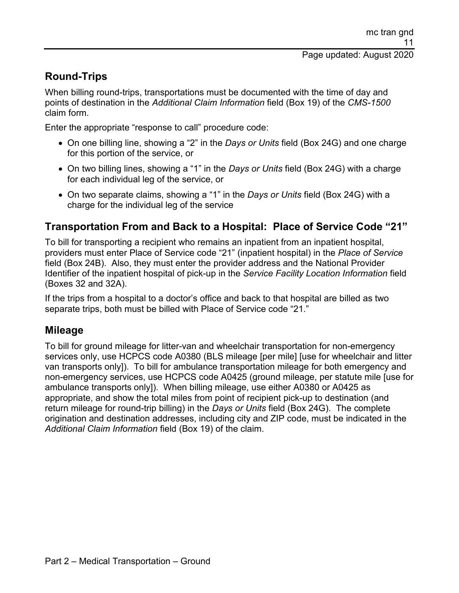## **Round-Trips**

When billing round-trips, transportations must be documented with the time of day and points of destination in the *Additional Claim Information* field (Box 19) of the *CMS-1500* claim form.

Enter the appropriate "response to call" procedure code:

- On one billing line, showing a "2" in the *Days or Units* field (Box 24G) and one charge for this portion of the service, or
- On two billing lines, showing a "1" in the *Days or Units* field (Box 24G) with a charge for each individual leg of the service, or
- On two separate claims, showing a "1" in the *Days or Units* field (Box 24G) with a charge for the individual leg of the service

## **Transportation From and Back to a Hospital: Place of Service Code "21"**

To bill for transporting a recipient who remains an inpatient from an inpatient hospital, providers must enter Place of Service code "21" (inpatient hospital) in the *Place of Service* field (Box 24B). Also, they must enter the provider address and the National Provider Identifier of the inpatient hospital of pick-up in the *Service Facility Location Information* field (Boxes 32 and 32A).

If the trips from a hospital to a doctor's office and back to that hospital are billed as two separate trips, both must be billed with Place of Service code "21."

## **Mileage**

To bill for ground mileage for litter-van and wheelchair transportation for non-emergency services only, use HCPCS code A0380 (BLS mileage [per mile] [use for wheelchair and litter van transports only]). To bill for ambulance transportation mileage for both emergency and non-emergency services, use HCPCS code A0425 (ground mileage, per statute mile [use for ambulance transports only]). When billing mileage, use either A0380 or A0425 as appropriate, and show the total miles from point of recipient pick-up to destination (and return mileage for round-trip billing) in the *Days or Units* field (Box 24G). The complete origination and destination addresses, including city and ZIP code, must be indicated in the *Additional Claim Information* field (Box 19) of the claim.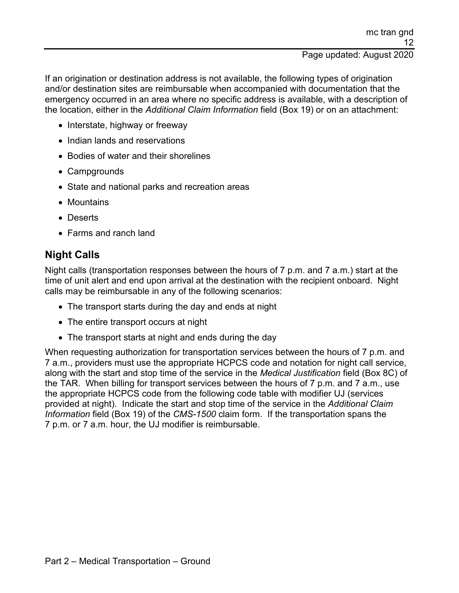If an origination or destination address is not available, the following types of origination and/or destination sites are reimbursable when accompanied with documentation that the emergency occurred in an area where no specific address is available, with a description of the location, either in the *Additional Claim Information* field (Box 19) or on an attachment:

- Interstate, highway or freeway
- Indian lands and reservations
- Bodies of water and their shorelines
- Campgrounds
- State and national parks and recreation areas
- Mountains
- Deserts
- Farms and ranch land

## **Night Calls**

Night calls (transportation responses between the hours of 7 p.m. and 7 a.m.) start at the time of unit alert and end upon arrival at the destination with the recipient onboard. Night calls may be reimbursable in any of the following scenarios:

- The transport starts during the day and ends at night
- The entire transport occurs at night
- The transport starts at night and ends during the day

When requesting authorization for transportation services between the hours of 7 p.m. and 7 a.m., providers must use the appropriate HCPCS code and notation for night call service, along with the start and stop time of the service in the *Medical Justification* field (Box 8C) of the TAR. When billing for transport services between the hours of 7 p.m. and 7 a.m., use the appropriate HCPCS code from the following code table with modifier UJ (services provided at night). Indicate the start and stop time of the service in the *Additional Claim Information* field (Box 19) of the *CMS-1500* claim form. If the transportation spans the 7 p.m. or 7 a.m. hour, the UJ modifier is reimbursable.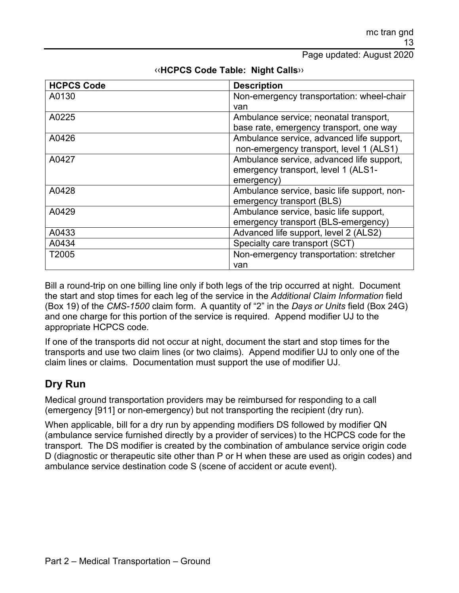| <b>HCPCS Code</b> | <b>Description</b>                          |
|-------------------|---------------------------------------------|
| A0130             | Non-emergency transportation: wheel-chair   |
|                   | van                                         |
| A0225             | Ambulance service; neonatal transport,      |
|                   | base rate, emergency transport, one way     |
| A0426             | Ambulance service, advanced life support,   |
|                   | non-emergency transport, level 1 (ALS1)     |
| A0427             | Ambulance service, advanced life support,   |
|                   | emergency transport, level 1 (ALS1-         |
|                   | emergency)                                  |
| A0428             | Ambulance service, basic life support, non- |
|                   | emergency transport (BLS)                   |
| A0429             | Ambulance service, basic life support,      |
|                   | emergency transport (BLS-emergency)         |
| A0433             | Advanced life support, level 2 (ALS2)       |
| A0434             | Specialty care transport (SCT)              |
| T2005             | Non-emergency transportation: stretcher     |
|                   | van                                         |

#### [‹‹](#page-18-0)**HCPCS Code Table: Night Calls**[››](#page-18-1)

Bill a round-trip on one billing line only if both legs of the trip occurred at night. Document the start and stop times for each leg of the service in the *Additional Claim Information* field (Box 19) of the *CMS-1500* claim form. A quantity of "2" in the *Days or Units* field (Box 24G) and one charge for this portion of the service is required. Append modifier UJ to the appropriate HCPCS code.

If one of the transports did not occur at night, document the start and stop times for the transports and use two claim lines (or two claims). Append modifier UJ to only one of the claim lines or claims. Documentation must support the use of modifier UJ.

## **Dry Run**

Medical ground transportation providers may be reimbursed for responding to a call (emergency [911] or non-emergency) but not transporting the recipient (dry run).

When applicable, bill for a dry run by appending modifiers DS followed by modifier QN (ambulance service furnished directly by a provider of services) to the HCPCS code for the transport. The DS modifier is created by the combination of ambulance service origin code D (diagnostic or therapeutic site other than P or H when these are used as origin codes) and ambulance service destination code S (scene of accident or acute event).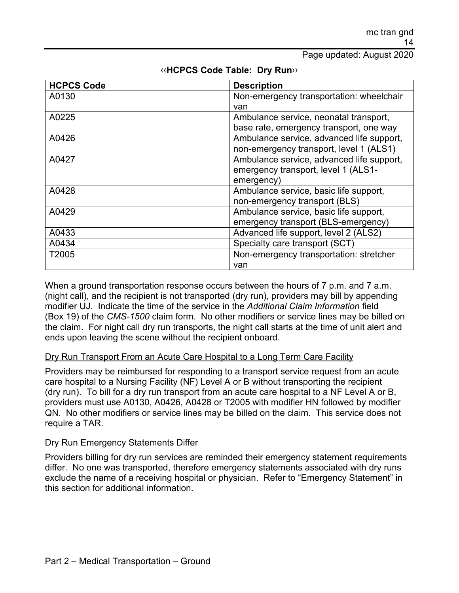| <b>HCPCS Code</b> | <b>Description</b>                        |
|-------------------|-------------------------------------------|
| A0130             | Non-emergency transportation: wheelchair  |
|                   | van                                       |
| A0225             | Ambulance service, neonatal transport,    |
|                   | base rate, emergency transport, one way   |
| A0426             | Ambulance service, advanced life support, |
|                   | non-emergency transport, level 1 (ALS1)   |
| A0427             | Ambulance service, advanced life support, |
|                   | emergency transport, level 1 (ALS1-       |
|                   | emergency)                                |
| A0428             | Ambulance service, basic life support,    |
|                   | non-emergency transport (BLS)             |
| A0429             | Ambulance service, basic life support,    |
|                   | emergency transport (BLS-emergency)       |
| A0433             | Advanced life support, level 2 (ALS2)     |
| A0434             | Specialty care transport (SCT)            |
| T2005             | Non-emergency transportation: stretcher   |
|                   | van                                       |

#### [‹‹](#page-18-0)**HCPCS Code Table: Dry Run**[››](#page-18-1)

When a ground transportation response occurs between the hours of 7 p.m. and 7 a.m. (night call), and the recipient is not transported (dry run), providers may bill by appending modifier UJ. Indicate the time of the service in the *Additional Claim Information* field (Box 19) of the *CMS-1500* claim form. No other modifiers or service lines may be billed on the claim. For night call dry run transports, the night call starts at the time of unit alert and ends upon leaving the scene without the recipient onboard.

#### Dry Run Transport From an Acute Care Hospital to a Long Term Care Facility

Providers may be reimbursed for responding to a transport service request from an acute care hospital to a Nursing Facility (NF) Level A or B without transporting the recipient (dry run). To bill for a dry run transport from an acute care hospital to a NF Level A or B, providers must use A0130, A0426, A0428 or T2005 with modifier HN followed by modifier QN. No other modifiers or service lines may be billed on the claim. This service does not require a TAR.

#### Dry Run Emergency Statements Differ

Providers billing for dry run services are reminded their emergency statement requirements differ. No one was transported, therefore emergency statements associated with dry runs exclude the name of a receiving hospital or physician. Refer to "Emergency Statement" in this section for additional information.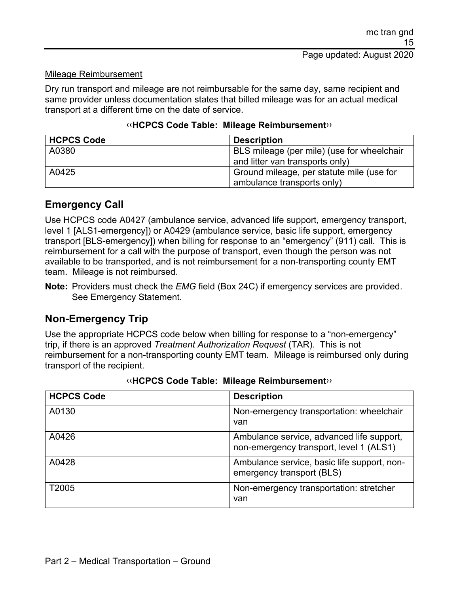#### Mileage Reimbursement

Dry run transport and mileage are not reimbursable for the same day, same recipient and same provider unless documentation states that billed mileage was for an actual medical transport at a different time on the date of service.

#### [‹‹](#page-18-0)**HCPCS Code Table: Mileage Reimbursement**[››](#page-18-1)

| <b>HCPCS Code</b> | <b>Description</b>                         |
|-------------------|--------------------------------------------|
| A0380             | BLS mileage (per mile) (use for wheelchair |
|                   | and litter van transports only)            |
| A0425             | Ground mileage, per statute mile (use for  |
|                   | ambulance transports only)                 |

#### **Emergency Call**

Use HCPCS code A0427 (ambulance service, advanced life support, emergency transport, level 1 [ALS1-emergency]) or A0429 (ambulance service, basic life support, emergency transport [BLS-emergency]) when billing for response to an "emergency" (911) call. This is reimbursement for a call with the purpose of transport, even though the person was not available to be transported, and is not reimbursement for a non-transporting county EMT team. Mileage is not reimbursed.

**Note:** Providers must check the *EMG* field (Box 24C) if emergency services are provided. See Emergency Statement.

## **Non-Emergency Trip**

Use the appropriate HCPCS code below when billing for response to a "non-emergency" trip, if there is an approved *Treatment Authorization Request* (TAR). This is not reimbursement for a non-transporting county EMT team. Mileage is reimbursed only during transport of the recipient.

| <b>HCPCS Code</b> | <b>Description</b>                                                                   |
|-------------------|--------------------------------------------------------------------------------------|
| A0130             | Non-emergency transportation: wheelchair<br>van                                      |
| A0426             | Ambulance service, advanced life support,<br>non-emergency transport, level 1 (ALS1) |
| A0428             | Ambulance service, basic life support, non-<br>emergency transport (BLS)             |
| T2005             | Non-emergency transportation: stretcher<br>van                                       |

|  | «HCPCS Code Table: Mileage Reimbursement» |
|--|-------------------------------------------|
|--|-------------------------------------------|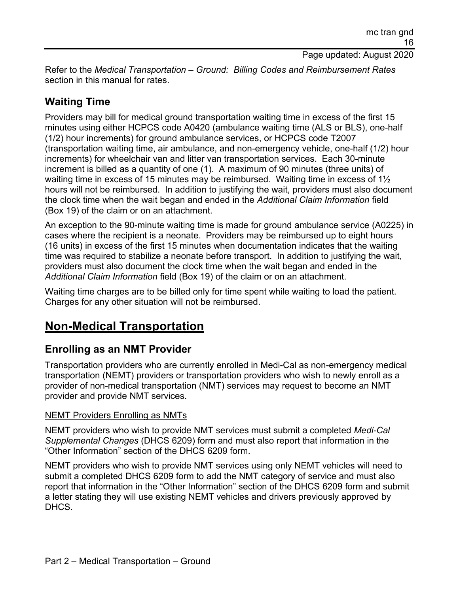Refer to the *Medical Transportation – Ground: Billing Codes and Reimbursement Rates* section in this manual for rates.

## **Waiting Time**

Providers may bill for medical ground transportation waiting time in excess of the first 15 minutes using either HCPCS code A0420 (ambulance waiting time (ALS or BLS), one-half (1/2) hour increments) for ground ambulance services, or HCPCS code T2007 (transportation waiting time, air ambulance, and non-emergency vehicle, one-half (1/2) hour increments) for wheelchair van and litter van transportation services. Each 30-minute increment is billed as a quantity of one (1). A maximum of 90 minutes (three units) of waiting time in excess of 15 minutes may be reimbursed. Waiting time in excess of 1<sup>1/2</sup> hours will not be reimbursed. In addition to justifying the wait, providers must also document the clock time when the wait began and ended in the *Additional Claim Information* field (Box 19) of the claim or on an attachment.

An exception to the 90-minute waiting time is made for ground ambulance service (A0225) in cases where the recipient is a neonate. Providers may be reimbursed up to eight hours (16 units) in excess of the first 15 minutes when documentation indicates that the waiting time was required to stabilize a neonate before transport. In addition to justifying the wait, providers must also document the clock time when the wait began and ended in the *Additional Claim Information* field (Box 19) of the claim or on an attachment.

Waiting time charges are to be billed only for time spent while waiting to load the patient. Charges for any other situation will not be reimbursed.

# **Non-Medical Transportation**

## **Enrolling as an NMT Provider**

Transportation providers who are currently enrolled in Medi-Cal as non-emergency medical transportation (NEMT) providers or transportation providers who wish to newly enroll as a provider of non-medical transportation (NMT) services may request to become an NMT provider and provide NMT services.

#### NEMT Providers Enrolling as NMTs

NEMT providers who wish to provide NMT services must submit a completed *Medi-Cal Supplemental Changes* (DHCS 6209) form and must also report that information in the "Other Information" section of the DHCS 6209 form.

NEMT providers who wish to provide NMT services using only NEMT vehicles will need to submit a completed DHCS 6209 form to add the NMT category of service and must also report that information in the "Other Information" section of the DHCS 6209 form and submit a letter stating they will use existing NEMT vehicles and drivers previously approved by DHCS.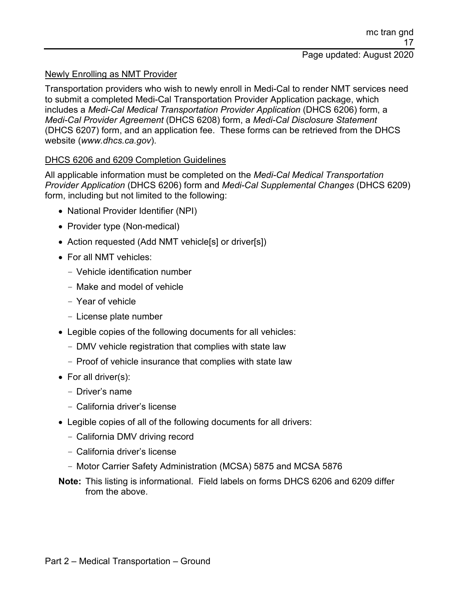#### Newly Enrolling as NMT Provider

Transportation providers who wish to newly enroll in Medi-Cal to render NMT services need to submit a completed Medi-Cal Transportation Provider Application package, which includes a *Medi-Cal Medical Transportation Provider Application* (DHCS 6206) form, a *Medi-Cal Provider Agreement* (DHCS 6208) form, a *Medi-Cal Disclosure Statement* (DHCS 6207) form, and an application fee. These forms can be retrieved from the DHCS website (*www.dhcs.ca.gov*).

#### DHCS 6206 and 6209 Completion Guidelines

All applicable information must be completed on the *Medi-Cal Medical Transportation Provider Application* (DHCS 6206) form and *Medi-Cal Supplemental Changes* (DHCS 6209) form, including but not limited to the following:

- National Provider Identifier (NPI)
- Provider type (Non-medical)
- Action requested (Add NMT vehicle[s] or driver[s])
- For all NMT vehicles:
	- Vehicle identification number
	- Make and model of vehicle
	- Year of vehicle
	- License plate number
- Legible copies of the following documents for all vehicles:
	- DMV vehicle registration that complies with state law
	- Proof of vehicle insurance that complies with state law
- For all driver(s):
	- Driver's name
	- California driver's license
- Legible copies of all of the following documents for all drivers:
	- California DMV driving record
	- California driver's license
	- Motor Carrier Safety Administration (MCSA) 5875 and MCSA 5876
- **Note:** This listing is informational. Field labels on forms DHCS 6206 and 6209 differ from the above.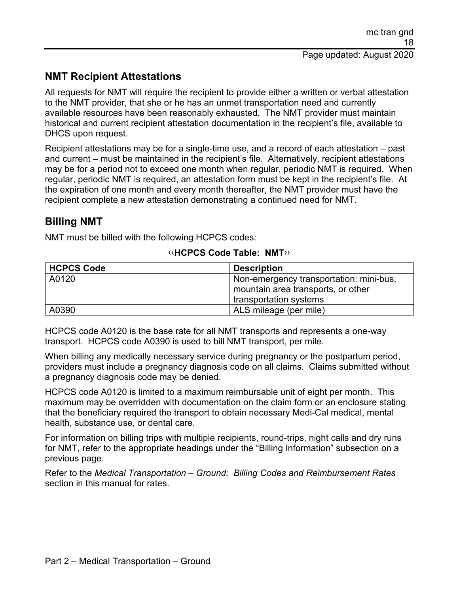## **NMT Recipient Attestations**

All requests for NMT will require the recipient to provide either a written or verbal attestation to the NMT provider, that she or he has an unmet transportation need and currently available resources have been reasonably exhausted. The NMT provider must maintain historical and current recipient attestation documentation in the recipient's file, available to DHCS upon request.

Recipient attestations may be for a single-time use, and a record of each attestation – past and current – must be maintained in the recipient's file. Alternatively, recipient attestations may be for a period not to exceed one month when regular, periodic NMT is required. When regular, periodic NMT is required, an attestation form must be kept in the recipient's file. At the expiration of one month and every month thereafter, the NMT provider must have the recipient complete a new attestation demonstrating a continued need for NMT.

## **Billing NMT**

NMT must be billed with the following HCPCS codes:

| <b>HCPCS Code</b> | <b>Description</b>                      |
|-------------------|-----------------------------------------|
| A0120             | Non-emergency transportation: mini-bus, |
|                   | mountain area transports, or other      |
|                   | transportation systems                  |
| A0390             | ALS mileage (per mile)                  |

#### [‹‹](#page-18-0)**HCPCS Code Table: NMT**[››](#page-18-1)

HCPCS code A0120 is the base rate for all NMT transports and represents a one-way transport. HCPCS code A0390 is used to bill NMT transport, per mile.

When billing any medically necessary service during pregnancy or the postpartum period, providers must include a pregnancy diagnosis code on all claims. Claims submitted without a pregnancy diagnosis code may be denied.

HCPCS code A0120 is limited to a maximum reimbursable unit of eight per month. This maximum may be overridden with documentation on the claim form or an enclosure stating that the beneficiary required the transport to obtain necessary Medi-Cal medical, mental health, substance use, or dental care.

For information on billing trips with multiple recipients, round-trips, night calls and dry runs for NMT, refer to the appropriate headings under the "Billing Information" subsection on a previous page.

Refer to the *Medical Transportation – Ground: Billing Codes and Reimbursement Rates* section in this manual for rates.